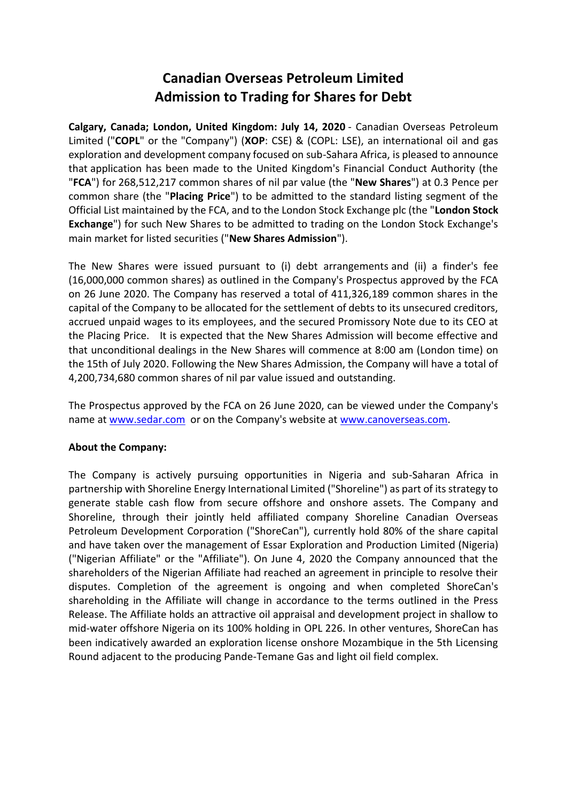## **Canadian Overseas Petroleum Limited Admission to Trading for Shares for Debt**

**Calgary, Canada; London, United Kingdom: July 14, 2020** - Canadian Overseas Petroleum Limited ("**COPL**" or the "Company") (**XOP**: CSE) & (COPL: LSE), an international oil and gas exploration and development company focused on sub-Sahara Africa, is pleased to announce that application has been made to the United Kingdom's Financial Conduct Authority (the "**FCA**") for 268,512,217 common shares of nil par value (the "**New Shares**") at 0.3 Pence per common share (the "**Placing Price**") to be admitted to the standard listing segment of the Official List maintained by the FCA, and to the London Stock Exchange plc (the "**London Stock Exchange**") for such New Shares to be admitted to trading on the London Stock Exchange's main market for listed securities ("**New Shares Admission**").

The New Shares were issued pursuant to (i) debt arrangements and (ii) a finder's fee (16,000,000 common shares) as outlined in the Company's Prospectus approved by the FCA on 26 June 2020. The Company has reserved a total of 411,326,189 common shares in the capital of the Company to be allocated for the settlement of debts to its unsecured creditors, accrued unpaid wages to its employees, and the secured Promissory Note due to its CEO at the Placing Price. It is expected that the New Shares Admission will become effective and that unconditional dealings in the New Shares will commence at 8:00 am (London time) on the 15th of July 2020. Following the New Shares Admission, the Company will have a total of 4,200,734,680 common shares of nil par value issued and outstanding.

The Prospectus approved by the FCA on 26 June 2020, can be viewed under the Company's name at www.sedar.com or on the Company's website at www.canoverseas.com.

## **About the Company:**

The Company is actively pursuing opportunities in Nigeria and sub-Saharan Africa in partnership with Shoreline Energy International Limited ("Shoreline") as part of its strategy to generate stable cash flow from secure offshore and onshore assets. The Company and Shoreline, through their jointly held affiliated company Shoreline Canadian Overseas Petroleum Development Corporation ("ShoreCan"), currently hold 80% of the share capital and have taken over the management of Essar Exploration and Production Limited (Nigeria) ("Nigerian Affiliate" or the "Affiliate"). On June 4, 2020 the Company announced that the shareholders of the Nigerian Affiliate had reached an agreement in principle to resolve their disputes. Completion of the agreement is ongoing and when completed ShoreCan's shareholding in the Affiliate will change in accordance to the terms outlined in the Press Release. The Affiliate holds an attractive oil appraisal and development project in shallow to mid-water offshore Nigeria on its 100% holding in OPL 226. In other ventures, ShoreCan has been indicatively awarded an exploration license onshore Mozambique in the 5th Licensing Round adjacent to the producing Pande-Temane Gas and light oil field complex.